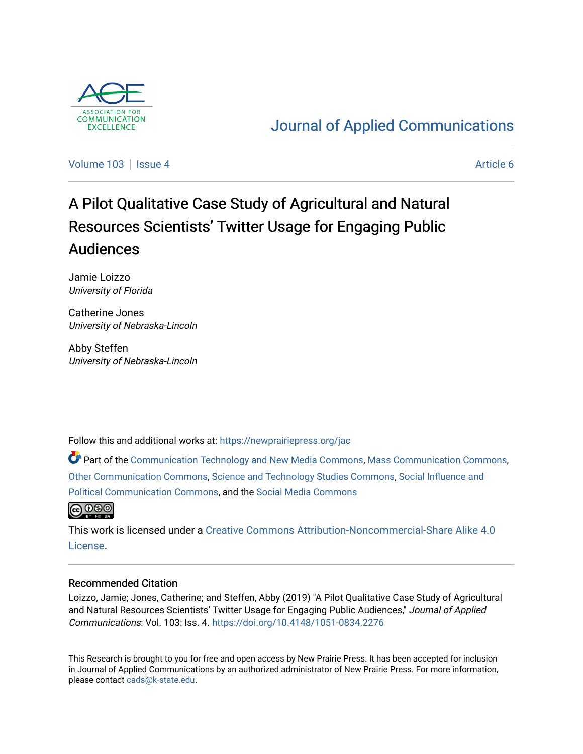

# [Journal of Applied Communications](https://newprairiepress.org/jac)

[Volume 103](https://newprairiepress.org/jac/vol103) | [Issue 4](https://newprairiepress.org/jac/vol103/iss4) Article 6

# A Pilot Qualitative Case Study of Agricultural and Natural Resources Scientists' Twitter Usage for Engaging Public Audiences

Jamie Loizzo University of Florida

Catherine Jones University of Nebraska-Lincoln

Abby Steffen University of Nebraska-Lincoln

Follow this and additional works at: [https://newprairiepress.org/jac](https://newprairiepress.org/jac?utm_source=newprairiepress.org%2Fjac%2Fvol103%2Fiss4%2F6&utm_medium=PDF&utm_campaign=PDFCoverPages)

Part of the [Communication Technology and New Media Commons,](http://network.bepress.com/hgg/discipline/327?utm_source=newprairiepress.org%2Fjac%2Fvol103%2Fiss4%2F6&utm_medium=PDF&utm_campaign=PDFCoverPages) [Mass Communication Commons,](http://network.bepress.com/hgg/discipline/334?utm_source=newprairiepress.org%2Fjac%2Fvol103%2Fiss4%2F6&utm_medium=PDF&utm_campaign=PDFCoverPages) [Other Communication Commons](http://network.bepress.com/hgg/discipline/339?utm_source=newprairiepress.org%2Fjac%2Fvol103%2Fiss4%2F6&utm_medium=PDF&utm_campaign=PDFCoverPages), [Science and Technology Studies Commons,](http://network.bepress.com/hgg/discipline/435?utm_source=newprairiepress.org%2Fjac%2Fvol103%2Fiss4%2F6&utm_medium=PDF&utm_campaign=PDFCoverPages) [Social Influence and](http://network.bepress.com/hgg/discipline/337?utm_source=newprairiepress.org%2Fjac%2Fvol103%2Fiss4%2F6&utm_medium=PDF&utm_campaign=PDFCoverPages)  [Political Communication Commons](http://network.bepress.com/hgg/discipline/337?utm_source=newprairiepress.org%2Fjac%2Fvol103%2Fiss4%2F6&utm_medium=PDF&utm_campaign=PDFCoverPages), and the [Social Media Commons](http://network.bepress.com/hgg/discipline/1249?utm_source=newprairiepress.org%2Fjac%2Fvol103%2Fiss4%2F6&utm_medium=PDF&utm_campaign=PDFCoverPages)



This work is licensed under a [Creative Commons Attribution-Noncommercial-Share Alike 4.0](https://creativecommons.org/licenses/by-nc-sa/4.0/) [License.](https://creativecommons.org/licenses/by-nc-sa/4.0/)

#### Recommended Citation

Loizzo, Jamie; Jones, Catherine; and Steffen, Abby (2019) "A Pilot Qualitative Case Study of Agricultural and Natural Resources Scientists' Twitter Usage for Engaging Public Audiences," Journal of Applied Communications: Vol. 103: Iss. 4. <https://doi.org/10.4148/1051-0834.2276>

This Research is brought to you for free and open access by New Prairie Press. It has been accepted for inclusion in Journal of Applied Communications by an authorized administrator of New Prairie Press. For more information, please contact [cads@k-state.edu.](mailto:cads@k-state.edu)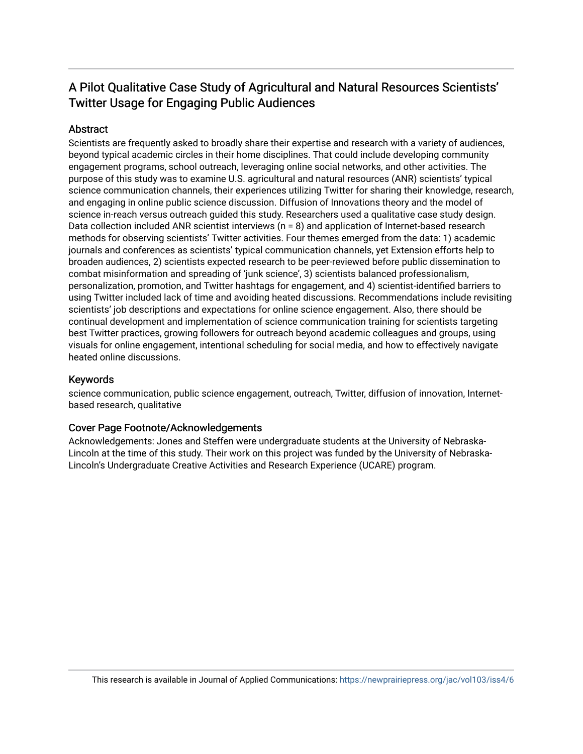# A Pilot Qualitative Case Study of Agricultural and Natural Resources Scientists' Twitter Usage for Engaging Public Audiences

#### **Abstract**

Scientists are frequently asked to broadly share their expertise and research with a variety of audiences, beyond typical academic circles in their home disciplines. That could include developing community engagement programs, school outreach, leveraging online social networks, and other activities. The purpose of this study was to examine U.S. agricultural and natural resources (ANR) scientists' typical science communication channels, their experiences utilizing Twitter for sharing their knowledge, research, and engaging in online public science discussion. Diffusion of Innovations theory and the model of science in-reach versus outreach guided this study. Researchers used a qualitative case study design. Data collection included ANR scientist interviews (n = 8) and application of Internet-based research methods for observing scientists' Twitter activities. Four themes emerged from the data: 1) academic journals and conferences as scientists' typical communication channels, yet Extension efforts help to broaden audiences, 2) scientists expected research to be peer-reviewed before public dissemination to combat misinformation and spreading of 'junk science', 3) scientists balanced professionalism, personalization, promotion, and Twitter hashtags for engagement, and 4) scientist-identified barriers to using Twitter included lack of time and avoiding heated discussions. Recommendations include revisiting scientists' job descriptions and expectations for online science engagement. Also, there should be continual development and implementation of science communication training for scientists targeting best Twitter practices, growing followers for outreach beyond academic colleagues and groups, using visuals for online engagement, intentional scheduling for social media, and how to effectively navigate heated online discussions.

#### Keywords

science communication, public science engagement, outreach, Twitter, diffusion of innovation, Internetbased research, qualitative

#### Cover Page Footnote/Acknowledgements

Acknowledgements: Jones and Steffen were undergraduate students at the University of Nebraska-Lincoln at the time of this study. Their work on this project was funded by the University of Nebraska-Lincoln's Undergraduate Creative Activities and Research Experience (UCARE) program.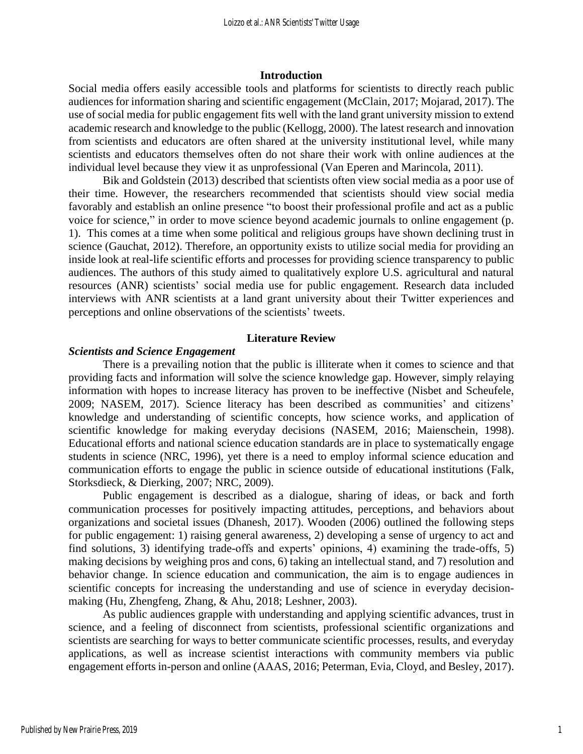#### **Introduction**

Social media offers easily accessible tools and platforms for scientists to directly reach public audiences for information sharing and scientific engagement (McClain, 2017; Mojarad, 2017). The use of social media for public engagement fits well with the land grant university mission to extend academic research and knowledge to the public (Kellogg, 2000). The latest research and innovation from scientists and educators are often shared at the university institutional level, while many scientists and educators themselves often do not share their work with online audiences at the individual level because they view it as unprofessional (Van Eperen and Marincola, 2011).

Bik and Goldstein (2013) described that scientists often view social media as a poor use of their time. However, the researchers recommended that scientists should view social media favorably and establish an online presence "to boost their professional profile and act as a public voice for science," in order to move science beyond academic journals to online engagement (p. 1). This comes at a time when some political and religious groups have shown declining trust in science (Gauchat, 2012). Therefore, an opportunity exists to utilize social media for providing an inside look at real-life scientific efforts and processes for providing science transparency to public audiences. The authors of this study aimed to qualitatively explore U.S. agricultural and natural resources (ANR) scientists' social media use for public engagement. Research data included interviews with ANR scientists at a land grant university about their Twitter experiences and perceptions and online observations of the scientists' tweets.

#### **Literature Review**

#### *Scientists and Science Engagement*

There is a prevailing notion that the public is illiterate when it comes to science and that providing facts and information will solve the science knowledge gap. However, simply relaying information with hopes to increase literacy has proven to be ineffective (Nisbet and Scheufele, 2009; NASEM, 2017). Science literacy has been described as communities' and citizens' knowledge and understanding of scientific concepts, how science works, and application of scientific knowledge for making everyday decisions (NASEM, 2016; Maienschein, 1998). Educational efforts and national science education standards are in place to systematically engage students in science (NRC, 1996), yet there is a need to employ informal science education and communication efforts to engage the public in science outside of educational institutions (Falk, Storksdieck, & Dierking, 2007; NRC, 2009).

Public engagement is described as a dialogue, sharing of ideas, or back and forth communication processes for positively impacting attitudes, perceptions, and behaviors about organizations and societal issues (Dhanesh, 2017). Wooden (2006) outlined the following steps for public engagement: 1) raising general awareness, 2) developing a sense of urgency to act and find solutions, 3) identifying trade-offs and experts' opinions, 4) examining the trade-offs, 5) making decisions by weighing pros and cons, 6) taking an intellectual stand, and 7) resolution and behavior change. In science education and communication, the aim is to engage audiences in scientific concepts for increasing the understanding and use of science in everyday decisionmaking (Hu, Zhengfeng, Zhang, & Ahu, 2018; Leshner, 2003).

As public audiences grapple with understanding and applying scientific advances, trust in science, and a feeling of disconnect from scientists, professional scientific organizations and scientists are searching for ways to better communicate scientific processes, results, and everyday applications, as well as increase scientist interactions with community members via public engagement efforts in-person and online (AAAS, 2016; Peterman, Evia, Cloyd, and Besley, 2017).

1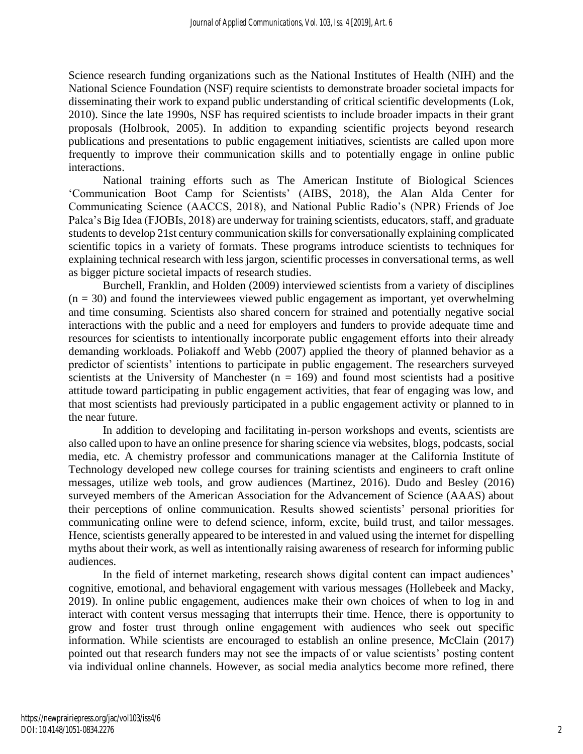Science research funding organizations such as the National Institutes of Health (NIH) and the National Science Foundation (NSF) require scientists to demonstrate broader societal impacts for disseminating their work to expand public understanding of critical scientific developments (Lok, 2010). Since the late 1990s, NSF has required scientists to include broader impacts in their grant proposals (Holbrook, 2005). In addition to expanding scientific projects beyond research publications and presentations to public engagement initiatives, scientists are called upon more frequently to improve their communication skills and to potentially engage in online public interactions.

National training efforts such as The American Institute of Biological Sciences 'Communication Boot Camp for Scientists' (AIBS, 2018), the Alan Alda Center for Communicating Science (AACCS, 2018), and National Public Radio's (NPR) Friends of Joe Palca's Big Idea (FJOBIs, 2018) are underway for training scientists, educators, staff, and graduate students to develop 21st century communication skills for conversationally explaining complicated scientific topics in a variety of formats. These programs introduce scientists to techniques for explaining technical research with less jargon, scientific processes in conversational terms, as well as bigger picture societal impacts of research studies.

Burchell, Franklin, and Holden (2009) interviewed scientists from a variety of disciplines  $(n = 30)$  and found the interviewees viewed public engagement as important, yet overwhelming and time consuming. Scientists also shared concern for strained and potentially negative social interactions with the public and a need for employers and funders to provide adequate time and resources for scientists to intentionally incorporate public engagement efforts into their already demanding workloads. Poliakoff and Webb (2007) applied the theory of planned behavior as a predictor of scientists' intentions to participate in public engagement. The researchers surveyed scientists at the University of Manchester ( $n = 169$ ) and found most scientists had a positive attitude toward participating in public engagement activities, that fear of engaging was low, and that most scientists had previously participated in a public engagement activity or planned to in the near future.

In addition to developing and facilitating in-person workshops and events, scientists are also called upon to have an online presence for sharing science via websites, blogs, podcasts, social media, etc. A chemistry professor and communications manager at the California Institute of Technology developed new college courses for training scientists and engineers to craft online messages, utilize web tools, and grow audiences (Martinez, 2016). Dudo and Besley (2016) surveyed members of the American Association for the Advancement of Science (AAAS) about their perceptions of online communication. Results showed scientists' personal priorities for communicating online were to defend science, inform, excite, build trust, and tailor messages. Hence, scientists generally appeared to be interested in and valued using the internet for dispelling myths about their work, as well as intentionally raising awareness of research for informing public audiences.

In the field of internet marketing, research shows digital content can impact audiences' cognitive, emotional, and behavioral engagement with various messages (Hollebeek and Macky, 2019). In online public engagement, audiences make their own choices of when to log in and interact with content versus messaging that interrupts their time. Hence, there is opportunity to grow and foster trust through online engagement with audiences who seek out specific information. While scientists are encouraged to establish an online presence, McClain (2017) pointed out that research funders may not see the impacts of or value scientists' posting content via individual online channels. However, as social media analytics become more refined, there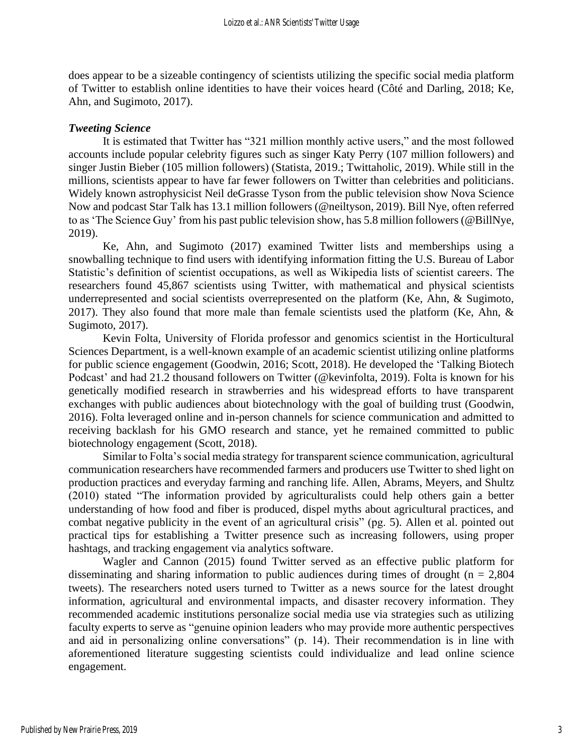does appear to be a sizeable contingency of scientists utilizing the specific social media platform of Twitter to establish online identities to have their voices heard (Côté and Darling, 2018; Ke, Ahn, and Sugimoto, 2017).

#### *Tweeting Science*

It is estimated that Twitter has "321 million monthly active users," and the most followed accounts include popular celebrity figures such as singer Katy Perry (107 million followers) and singer Justin Bieber (105 million followers) (Statista, 2019.; Twittaholic, 2019). While still in the millions, scientists appear to have far fewer followers on Twitter than celebrities and politicians. Widely known astrophysicist Neil deGrasse Tyson from the public television show Nova Science Now and podcast Star Talk has 13.1 million followers (@neiltyson, 2019). Bill Nye, often referred to as 'The Science Guy' from his past public television show, has 5.8 million followers (@BillNye, 2019).

Ke, Ahn, and Sugimoto (2017) examined Twitter lists and memberships using a snowballing technique to find users with identifying information fitting the U.S. Bureau of Labor Statistic's definition of scientist occupations, as well as Wikipedia lists of scientist careers. The researchers found 45,867 scientists using Twitter, with mathematical and physical scientists underrepresented and social scientists overrepresented on the platform (Ke, Ahn, & Sugimoto, 2017). They also found that more male than female scientists used the platform (Ke, Ahn, & Sugimoto, 2017).

Kevin Folta, University of Florida professor and genomics scientist in the Horticultural Sciences Department, is a well-known example of an academic scientist utilizing online platforms for public science engagement (Goodwin, 2016; Scott, 2018). He developed the 'Talking Biotech Podcast' and had 21.2 thousand followers on Twitter (@kevinfolta, 2019). Folta is known for his genetically modified research in strawberries and his widespread efforts to have transparent exchanges with public audiences about biotechnology with the goal of building trust (Goodwin, 2016). Folta leveraged online and in-person channels for science communication and admitted to receiving backlash for his GMO research and stance, yet he remained committed to public biotechnology engagement (Scott, 2018).

Similar to Folta's social media strategy for transparent science communication, agricultural communication researchers have recommended farmers and producers use Twitter to shed light on production practices and everyday farming and ranching life. Allen, Abrams, Meyers, and Shultz (2010) stated "The information provided by agriculturalists could help others gain a better understanding of how food and fiber is produced, dispel myths about agricultural practices, and combat negative publicity in the event of an agricultural crisis" (pg. 5). Allen et al. pointed out practical tips for establishing a Twitter presence such as increasing followers, using proper hashtags, and tracking engagement via analytics software.

Wagler and Cannon (2015) found Twitter served as an effective public platform for disseminating and sharing information to public audiences during times of drought ( $n = 2,804$ ) tweets). The researchers noted users turned to Twitter as a news source for the latest drought information, agricultural and environmental impacts, and disaster recovery information. They recommended academic institutions personalize social media use via strategies such as utilizing faculty experts to serve as "genuine opinion leaders who may provide more authentic perspectives and aid in personalizing online conversations" (p. 14). Their recommendation is in line with aforementioned literature suggesting scientists could individualize and lead online science engagement.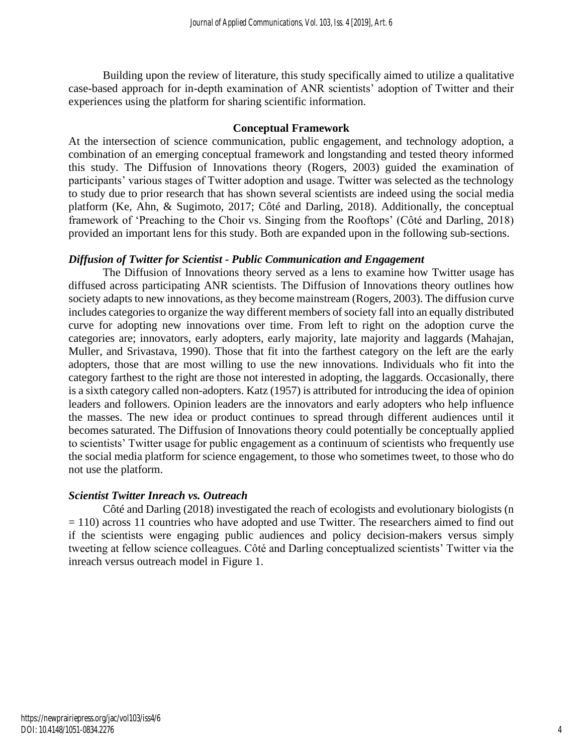Building upon the review of literature, this study specifically aimed to utilize a qualitative case-based approach for in-depth examination of ANR scientists' adoption of Twitter and their experiences using the platform for sharing scientific information.

#### **Conceptual Framework**

At the intersection of science communication, public engagement, and technology adoption, a combination of an emerging conceptual framework and longstanding and tested theory informed this study. The Diffusion of Innovations theory (Rogers, 2003) guided the examination of participants' various stages of Twitter adoption and usage. Twitter was selected as the technology to study due to prior research that has shown several scientists are indeed using the social media platform (Ke, Ahn, & Sugimoto, 2017; Côté and Darling, 2018). Additionally, the conceptual framework of 'Preaching to the Choir vs. Singing from the Rooftops' (Côté and Darling, 2018) provided an important lens for this study. Both are expanded upon in the following sub-sections.

#### *Diffusion of Twitter for Scientist - Public Communication and Engagement*

The Diffusion of Innovations theory served as a lens to examine how Twitter usage has diffused across participating ANR scientists. The Diffusion of Innovations theory outlines how society adapts to new innovations, as they become mainstream (Rogers, 2003). The diffusion curve includes categories to organize the way different members of society fall into an equally distributed curve for adopting new innovations over time. From left to right on the adoption curve the categories are; innovators, early adopters, early majority, late majority and laggards (Mahajan, Muller, and Srivastava, 1990). Those that fit into the farthest category on the left are the early adopters, those that are most willing to use the new innovations. Individuals who fit into the category farthest to the right are those not interested in adopting, the laggards. Occasionally, there is a sixth category called non-adopters. Katz (1957) is attributed for introducing the idea of opinion leaders and followers. Opinion leaders are the innovators and early adopters who help influence the masses. The new idea or product continues to spread through different audiences until it becomes saturated. The Diffusion of Innovations theory could potentially be conceptually applied to scientists' Twitter usage for public engagement as a continuum of scientists who frequently use the social media platform for science engagement, to those who sometimes tweet, to those who do not use the platform.

#### *Scientist Twitter Inreach vs. Outreach*

Côté and Darling (2018) investigated the reach of ecologists and evolutionary biologists (n  $= 110$ ) across 11 countries who have adopted and use Twitter. The researchers aimed to find out if the scientists were engaging public audiences and policy decision-makers versus simply tweeting at fellow science colleagues. Côté and Darling conceptualized scientists' Twitter via the inreach versus outreach model in Figure 1.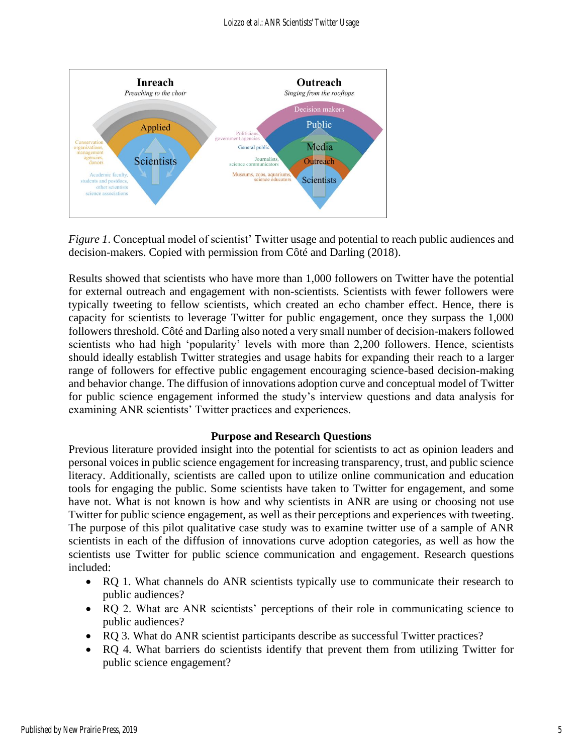

*Figure 1*. Conceptual model of scientist' Twitter usage and potential to reach public audiences and decision-makers. Copied with permission from Côté and Darling (2018).

Results showed that scientists who have more than 1,000 followers on Twitter have the potential for external outreach and engagement with non-scientists. Scientists with fewer followers were typically tweeting to fellow scientists, which created an echo chamber effect. Hence, there is capacity for scientists to leverage Twitter for public engagement, once they surpass the 1,000 followers threshold. Côté and Darling also noted a very small number of decision-makers followed scientists who had high 'popularity' levels with more than 2,200 followers. Hence, scientists should ideally establish Twitter strategies and usage habits for expanding their reach to a larger range of followers for effective public engagement encouraging science-based decision-making and behavior change. The diffusion of innovations adoption curve and conceptual model of Twitter for public science engagement informed the study's interview questions and data analysis for examining ANR scientists' Twitter practices and experiences.

#### **Purpose and Research Questions**

Previous literature provided insight into the potential for scientists to act as opinion leaders and personal voices in public science engagement for increasing transparency, trust, and public science literacy. Additionally, scientists are called upon to utilize online communication and education tools for engaging the public. Some scientists have taken to Twitter for engagement, and some have not. What is not known is how and why scientists in ANR are using or choosing not use Twitter for public science engagement, as well as their perceptions and experiences with tweeting. The purpose of this pilot qualitative case study was to examine twitter use of a sample of ANR scientists in each of the diffusion of innovations curve adoption categories, as well as how the scientists use Twitter for public science communication and engagement. Research questions included:

- RQ 1. What channels do ANR scientists typically use to communicate their research to public audiences?
- RQ 2. What are ANR scientists' perceptions of their role in communicating science to public audiences?
- RO 3. What do ANR scientist participants describe as successful Twitter practices?
- RQ 4. What barriers do scientists identify that prevent them from utilizing Twitter for public science engagement?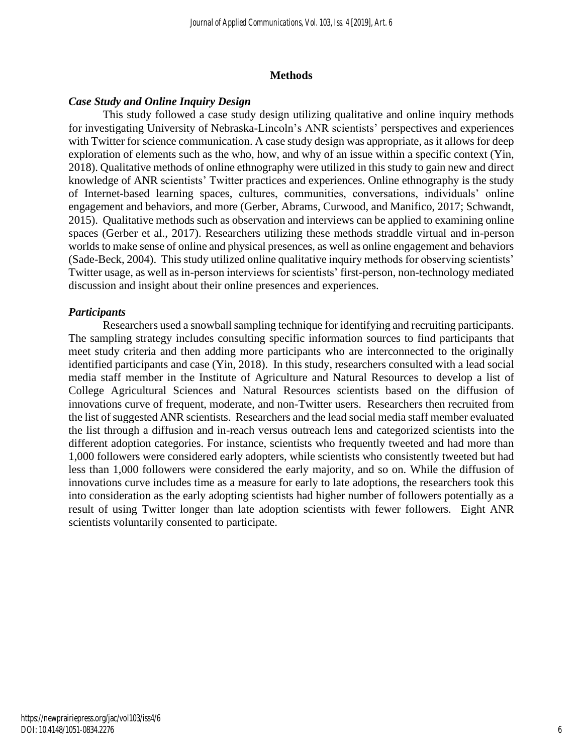#### **Methods**

#### *Case Study and Online Inquiry Design*

This study followed a case study design utilizing qualitative and online inquiry methods for investigating University of Nebraska-Lincoln's ANR scientists' perspectives and experiences with Twitter for science communication. A case study design was appropriate, as it allows for deep exploration of elements such as the who, how, and why of an issue within a specific context (Yin, 2018). Qualitative methods of online ethnography were utilized in this study to gain new and direct knowledge of ANR scientists' Twitter practices and experiences. Online ethnography is the study of Internet-based learning spaces, cultures, communities, conversations, individuals' online engagement and behaviors, and more (Gerber, Abrams, Curwood, and Manifico, 2017; Schwandt, 2015). Qualitative methods such as observation and interviews can be applied to examining online spaces (Gerber et al., 2017). Researchers utilizing these methods straddle virtual and in-person worlds to make sense of online and physical presences, as well as online engagement and behaviors (Sade-Beck, 2004). This study utilized online qualitative inquiry methods for observing scientists' Twitter usage, as well as in-person interviews for scientists' first-person, non-technology mediated discussion and insight about their online presences and experiences.

#### *Participants*

Researchers used a snowball sampling technique for identifying and recruiting participants. The sampling strategy includes consulting specific information sources to find participants that meet study criteria and then adding more participants who are interconnected to the originally identified participants and case (Yin, 2018). In this study, researchers consulted with a lead social media staff member in the Institute of Agriculture and Natural Resources to develop a list of College Agricultural Sciences and Natural Resources scientists based on the diffusion of innovations curve of frequent, moderate, and non-Twitter users. Researchers then recruited from the list of suggested ANR scientists. Researchers and the lead social media staff member evaluated the list through a diffusion and in-reach versus outreach lens and categorized scientists into the different adoption categories. For instance, scientists who frequently tweeted and had more than 1,000 followers were considered early adopters, while scientists who consistently tweeted but had less than 1,000 followers were considered the early majority, and so on. While the diffusion of innovations curve includes time as a measure for early to late adoptions, the researchers took this into consideration as the early adopting scientists had higher number of followers potentially as a result of using Twitter longer than late adoption scientists with fewer followers. Eight ANR scientists voluntarily consented to participate.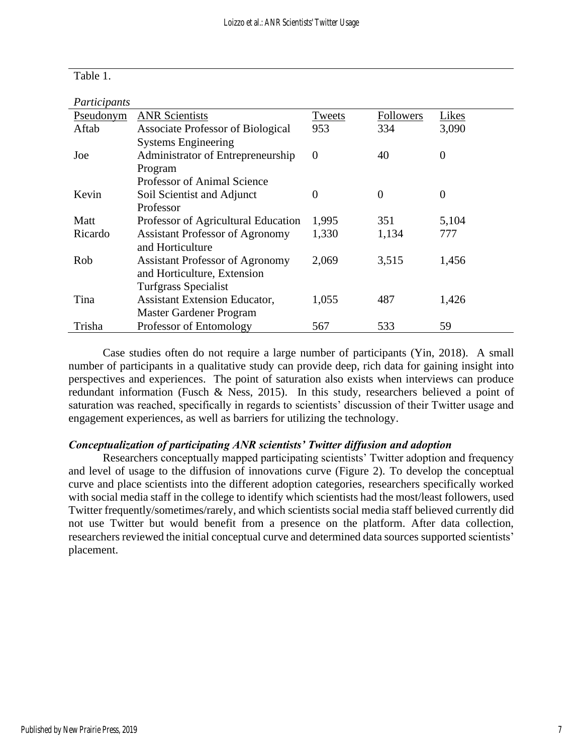| Table |  |  |
|-------|--|--|
|-------|--|--|

| Participants |                                          |          |                |                |
|--------------|------------------------------------------|----------|----------------|----------------|
| Pseudonym    | <b>ANR Scientists</b>                    | Tweets   | Followers      | Likes          |
| Aftab        | <b>Associate Professor of Biological</b> | 953      | 334            | 3,090          |
|              | <b>Systems Engineering</b>               |          |                |                |
| Joe          | Administrator of Entrepreneurship        | $\theta$ | 40             | $\overline{0}$ |
|              | Program                                  |          |                |                |
|              | <b>Professor of Animal Science</b>       |          |                |                |
| Kevin        | Soil Scientist and Adjunct               | 0        | $\overline{0}$ | $\overline{0}$ |
|              | Professor                                |          |                |                |
| Matt         | Professor of Agricultural Education      | 1,995    | 351            | 5,104          |
| Ricardo      | <b>Assistant Professor of Agronomy</b>   | 1,330    | 1,134          | 777            |
|              | and Horticulture                         |          |                |                |
| Rob          | <b>Assistant Professor of Agronomy</b>   | 2,069    | 3,515          | 1,456          |
|              | and Horticulture, Extension              |          |                |                |
|              | <b>Turfgrass Specialist</b>              |          |                |                |
| Tina         | <b>Assistant Extension Educator,</b>     | 1,055    | 487            | 1,426          |
|              | Master Gardener Program                  |          |                |                |
| Trisha       | Professor of Entomology                  | 567      | 533            | 59             |

Case studies often do not require a large number of participants (Yin, 2018). A small number of participants in a qualitative study can provide deep, rich data for gaining insight into perspectives and experiences. The point of saturation also exists when interviews can produce redundant information (Fusch & Ness, 2015). In this study, researchers believed a point of saturation was reached, specifically in regards to scientists' discussion of their Twitter usage and engagement experiences, as well as barriers for utilizing the technology.

#### *Conceptualization of participating ANR scientists' Twitter diffusion and adoption*

Researchers conceptually mapped participating scientists' Twitter adoption and frequency and level of usage to the diffusion of innovations curve (Figure 2). To develop the conceptual curve and place scientists into the different adoption categories, researchers specifically worked with social media staff in the college to identify which scientists had the most/least followers, used Twitter frequently/sometimes/rarely, and which scientists social media staff believed currently did not use Twitter but would benefit from a presence on the platform. After data collection, researchers reviewed the initial conceptual curve and determined data sources supported scientists' placement.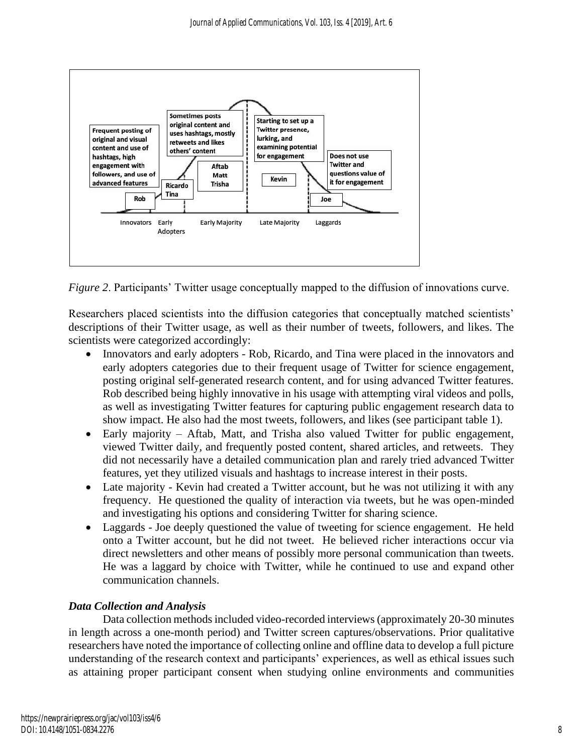

*Figure 2*. Participants' Twitter usage conceptually mapped to the diffusion of innovations curve.

Researchers placed scientists into the diffusion categories that conceptually matched scientists' descriptions of their Twitter usage, as well as their number of tweets, followers, and likes. The scientists were categorized accordingly:

- Innovators and early adopters Rob, Ricardo, and Tina were placed in the innovators and early adopters categories due to their frequent usage of Twitter for science engagement, posting original self-generated research content, and for using advanced Twitter features. Rob described being highly innovative in his usage with attempting viral videos and polls, as well as investigating Twitter features for capturing public engagement research data to show impact. He also had the most tweets, followers, and likes (see participant table 1).
- Early majority Aftab, Matt, and Trisha also valued Twitter for public engagement, viewed Twitter daily, and frequently posted content, shared articles, and retweets. They did not necessarily have a detailed communication plan and rarely tried advanced Twitter features, yet they utilized visuals and hashtags to increase interest in their posts.
- Late majority Kevin had created a Twitter account, but he was not utilizing it with any frequency. He questioned the quality of interaction via tweets, but he was open-minded and investigating his options and considering Twitter for sharing science.
- Laggards Joe deeply questioned the value of tweeting for science engagement. He held onto a Twitter account, but he did not tweet. He believed richer interactions occur via direct newsletters and other means of possibly more personal communication than tweets. He was a laggard by choice with Twitter, while he continued to use and expand other communication channels.

# *Data Collection and Analysis*

Data collection methods included video-recorded interviews (approximately 20-30 minutes in length across a one-month period) and Twitter screen captures/observations. Prior qualitative researchers have noted the importance of collecting online and offline data to develop a full picture understanding of the research context and participants' experiences, as well as ethical issues such as attaining proper participant consent when studying online environments and communities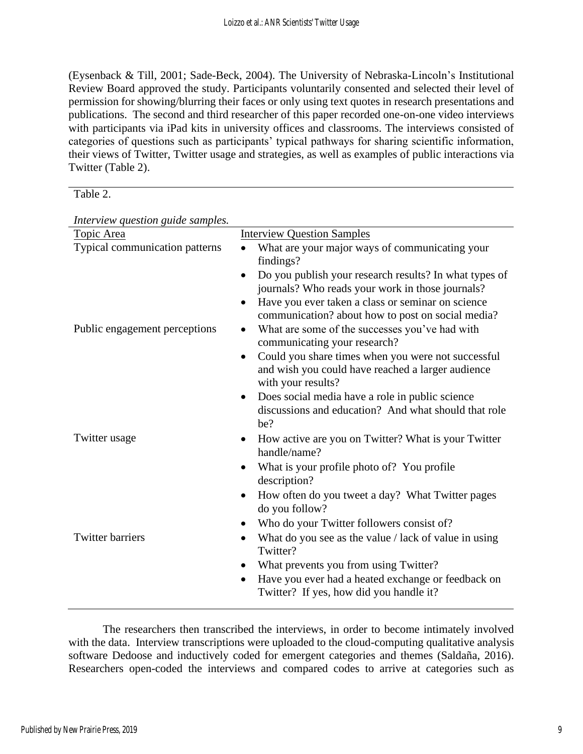(Eysenback & Till, 2001; Sade-Beck, 2004). The University of Nebraska-Lincoln's Institutional Review Board approved the study. Participants voluntarily consented and selected their level of permission for showing/blurring their faces or only using text quotes in research presentations and publications. The second and third researcher of this paper recorded one-on-one video interviews with participants via iPad kits in university offices and classrooms. The interviews consisted of categories of questions such as participants' typical pathways for sharing scientific information, their views of Twitter, Twitter usage and strategies, as well as examples of public interactions via Twitter (Table 2).

| anie |  |
|------|--|
|------|--|

| Interview question guide samples. |                                                                                                                                    |
|-----------------------------------|------------------------------------------------------------------------------------------------------------------------------------|
| Topic Area                        | <b>Interview Question Samples</b>                                                                                                  |
| Typical communication patterns    | What are your major ways of communicating your<br>findings?                                                                        |
|                                   | Do you publish your research results? In what types of<br>$\bullet$<br>journals? Who reads your work in those journals?            |
|                                   | Have you ever taken a class or seminar on science<br>$\bullet$<br>communication? about how to post on social media?                |
| Public engagement perceptions     | What are some of the successes you've had with<br>$\bullet$<br>communicating your research?                                        |
|                                   | Could you share times when you were not successful<br>٠<br>and wish you could have reached a larger audience<br>with your results? |
|                                   | Does social media have a role in public science<br>$\bullet$<br>discussions and education? And what should that role<br>be?        |
| Twitter usage                     | How active are you on Twitter? What is your Twitter<br>handle/name?                                                                |
|                                   | What is your profile photo of? You profile<br>description?                                                                         |
|                                   | How often do you tweet a day? What Twitter pages<br>do you follow?                                                                 |
|                                   | Who do your Twitter followers consist of?<br>٠                                                                                     |
| <b>Twitter barriers</b>           | What do you see as the value / lack of value in using<br>٠<br>Twitter?                                                             |
|                                   | What prevents you from using Twitter?<br>٠                                                                                         |
|                                   | Have you ever had a heated exchange or feedback on<br>$\bullet$<br>Twitter? If yes, how did you handle it?                         |

*Interview question guide samples.*

The researchers then transcribed the interviews, in order to become intimately involved with the data. Interview transcriptions were uploaded to the cloud-computing qualitative analysis software Dedoose and inductively coded for emergent categories and themes (Saldaña, 2016). Researchers open-coded the interviews and compared codes to arrive at categories such as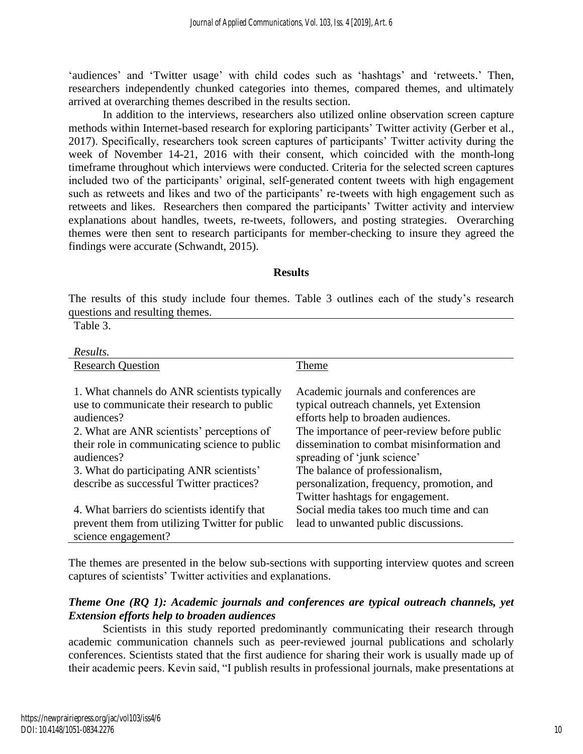'audiences' and 'Twitter usage' with child codes such as 'hashtags' and 'retweets.' Then, researchers independently chunked categories into themes, compared themes, and ultimately arrived at overarching themes described in the results section.

In addition to the interviews, researchers also utilized online observation screen capture methods within Internet-based research for exploring participants' Twitter activity (Gerber et al., 2017). Specifically, researchers took screen captures of participants' Twitter activity during the week of November 14-21, 2016 with their consent, which coincided with the month-long timeframe throughout which interviews were conducted. Criteria for the selected screen captures included two of the participants' original, self-generated content tweets with high engagement such as retweets and likes and two of the participants' re-tweets with high engagement such as retweets and likes. Researchers then compared the participants' Twitter activity and interview explanations about handles, tweets, re-tweets, followers, and posting strategies. Overarching themes were then sent to research participants for member-checking to insure they agreed the findings were accurate (Schwandt, 2015).

#### **Results**

The results of this study include four themes. Table 3 outlines each of the study's research questions and resulting themes.

Table 3.

| Results.                                       |                                             |
|------------------------------------------------|---------------------------------------------|
| <b>Research Question</b>                       | Theme                                       |
|                                                |                                             |
| 1. What channels do ANR scientists typically   | Academic journals and conferences are       |
| use to communicate their research to public    | typical outreach channels, yet Extension    |
| audiences?                                     | efforts help to broaden audiences.          |
| 2. What are ANR scientists' perceptions of     | The importance of peer-review before public |
| their role in communicating science to public  | dissemination to combat misinformation and  |
| audiences?                                     | spreading of 'junk science'                 |
| 3. What do participating ANR scientists'       | The balance of professionalism,             |
| describe as successful Twitter practices?      | personalization, frequency, promotion, and  |
|                                                | Twitter hashtags for engagement.            |
| 4. What barriers do scientists identify that   | Social media takes too much time and can    |
| prevent them from utilizing Twitter for public | lead to unwanted public discussions.        |
| science engagement?                            |                                             |

The themes are presented in the below sub-sections with supporting interview quotes and screen captures of scientists' Twitter activities and explanations.

#### *Theme One (RQ 1): Academic journals and conferences are typical outreach channels, yet Extension efforts help to broaden audiences*

Scientists in this study reported predominantly communicating their research through academic communication channels such as peer-reviewed journal publications and scholarly conferences. Scientists stated that the first audience for sharing their work is usually made up of their academic peers. Kevin said, "I publish results in professional journals, make presentations at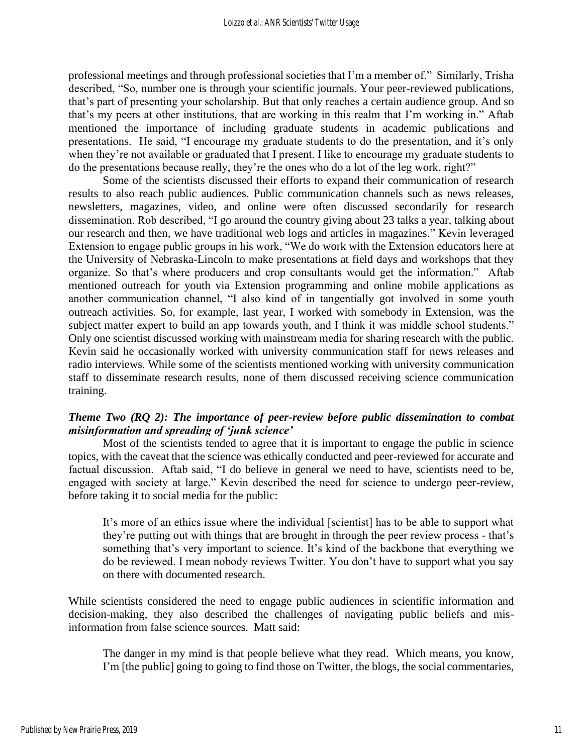professional meetings and through professional societies that I'm a member of." Similarly, Trisha described, "So, number one is through your scientific journals. Your peer-reviewed publications, that's part of presenting your scholarship. But that only reaches a certain audience group. And so that's my peers at other institutions, that are working in this realm that I'm working in." Aftab mentioned the importance of including graduate students in academic publications and presentations. He said, "I encourage my graduate students to do the presentation, and it's only when they're not available or graduated that I present. I like to encourage my graduate students to do the presentations because really, they're the ones who do a lot of the leg work, right?"

Some of the scientists discussed their efforts to expand their communication of research results to also reach public audiences. Public communication channels such as news releases, newsletters, magazines, video, and online were often discussed secondarily for research dissemination. Rob described, "I go around the country giving about 23 talks a year, talking about our research and then, we have traditional web logs and articles in magazines." Kevin leveraged Extension to engage public groups in his work, "We do work with the Extension educators here at the University of Nebraska-Lincoln to make presentations at field days and workshops that they organize. So that's where producers and crop consultants would get the information." Aftab mentioned outreach for youth via Extension programming and online mobile applications as another communication channel, "I also kind of in tangentially got involved in some youth outreach activities. So, for example, last year, I worked with somebody in Extension, was the subject matter expert to build an app towards youth, and I think it was middle school students." Only one scientist discussed working with mainstream media for sharing research with the public. Kevin said he occasionally worked with university communication staff for news releases and radio interviews. While some of the scientists mentioned working with university communication staff to disseminate research results, none of them discussed receiving science communication training.

### *Theme Two (RQ 2): The importance of peer-review before public dissemination to combat misinformation and spreading of 'junk science'*

Most of the scientists tended to agree that it is important to engage the public in science topics, with the caveat that the science was ethically conducted and peer-reviewed for accurate and factual discussion. Aftab said, "I do believe in general we need to have, scientists need to be, engaged with society at large." Kevin described the need for science to undergo peer-review, before taking it to social media for the public:

It's more of an ethics issue where the individual [scientist] has to be able to support what they're putting out with things that are brought in through the peer review process - that's something that's very important to science. It's kind of the backbone that everything we do be reviewed. I mean nobody reviews Twitter. You don't have to support what you say on there with documented research.

While scientists considered the need to engage public audiences in scientific information and decision-making, they also described the challenges of navigating public beliefs and misinformation from false science sources. Matt said:

The danger in my mind is that people believe what they read. Which means, you know, I'm [the public] going to going to find those on Twitter, the blogs, the social commentaries,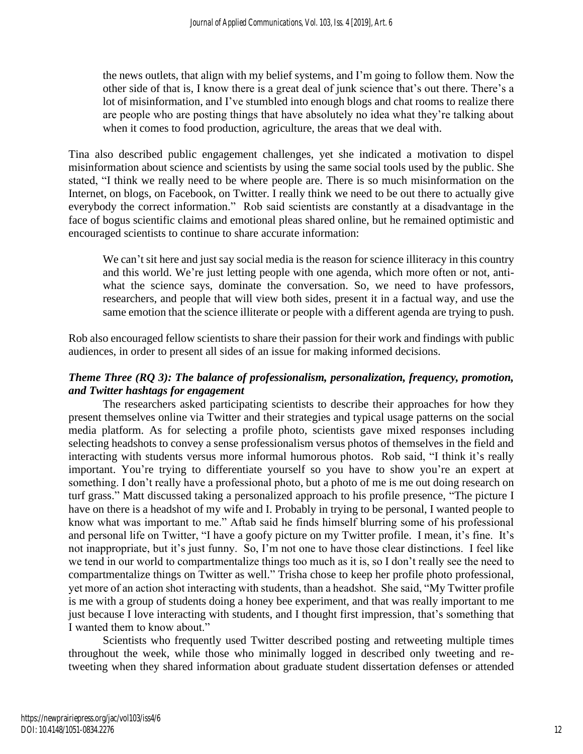the news outlets, that align with my belief systems, and I'm going to follow them. Now the other side of that is, I know there is a great deal of junk science that's out there. There's a lot of misinformation, and I've stumbled into enough blogs and chat rooms to realize there are people who are posting things that have absolutely no idea what they're talking about when it comes to food production, agriculture, the areas that we deal with.

Tina also described public engagement challenges, yet she indicated a motivation to dispel misinformation about science and scientists by using the same social tools used by the public. She stated, "I think we really need to be where people are. There is so much misinformation on the Internet, on blogs, on Facebook, on Twitter. I really think we need to be out there to actually give everybody the correct information." Rob said scientists are constantly at a disadvantage in the face of bogus scientific claims and emotional pleas shared online, but he remained optimistic and encouraged scientists to continue to share accurate information:

We can't sit here and just say social media is the reason for science illiteracy in this country and this world. We're just letting people with one agenda, which more often or not, antiwhat the science says, dominate the conversation. So, we need to have professors, researchers, and people that will view both sides, present it in a factual way, and use the same emotion that the science illiterate or people with a different agenda are trying to push.

Rob also encouraged fellow scientists to share their passion for their work and findings with public audiences, in order to present all sides of an issue for making informed decisions.

## *Theme Three (RQ 3): The balance of professionalism, personalization, frequency, promotion, and Twitter hashtags for engagement*

The researchers asked participating scientists to describe their approaches for how they present themselves online via Twitter and their strategies and typical usage patterns on the social media platform. As for selecting a profile photo, scientists gave mixed responses including selecting headshots to convey a sense professionalism versus photos of themselves in the field and interacting with students versus more informal humorous photos. Rob said, "I think it's really important. You're trying to differentiate yourself so you have to show you're an expert at something. I don't really have a professional photo, but a photo of me is me out doing research on turf grass." Matt discussed taking a personalized approach to his profile presence, "The picture I have on there is a headshot of my wife and I. Probably in trying to be personal, I wanted people to know what was important to me." Aftab said he finds himself blurring some of his professional and personal life on Twitter, "I have a goofy picture on my Twitter profile. I mean, it's fine. It's not inappropriate, but it's just funny. So, I'm not one to have those clear distinctions. I feel like we tend in our world to compartmentalize things too much as it is, so I don't really see the need to compartmentalize things on Twitter as well." Trisha chose to keep her profile photo professional, yet more of an action shot interacting with students, than a headshot. She said, "My Twitter profile is me with a group of students doing a honey bee experiment, and that was really important to me just because I love interacting with students, and I thought first impression, that's something that I wanted them to know about."

Scientists who frequently used Twitter described posting and retweeting multiple times throughout the week, while those who minimally logged in described only tweeting and retweeting when they shared information about graduate student dissertation defenses or attended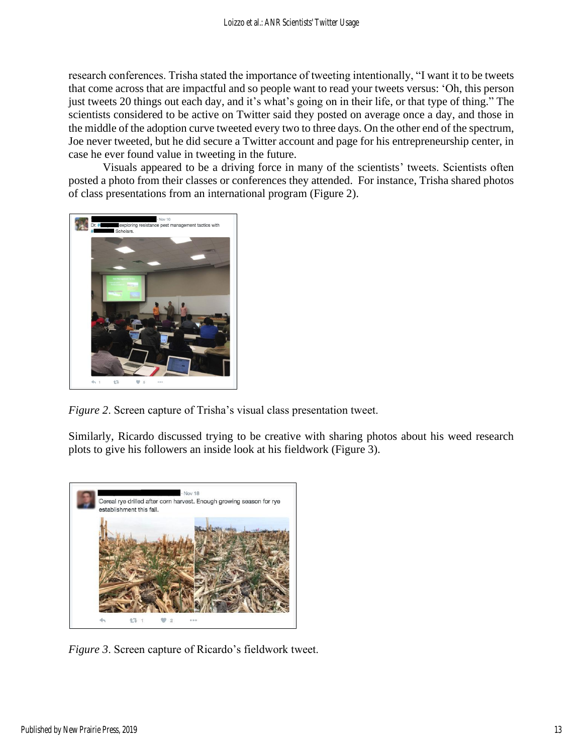research conferences. Trisha stated the importance of tweeting intentionally, "I want it to be tweets that come across that are impactful and so people want to read your tweets versus: 'Oh, this person just tweets 20 things out each day, and it's what's going on in their life, or that type of thing." The scientists considered to be active on Twitter said they posted on average once a day, and those in the middle of the adoption curve tweeted every two to three days. On the other end of the spectrum, Joe never tweeted, but he did secure a Twitter account and page for his entrepreneurship center, in case he ever found value in tweeting in the future.

Visuals appeared to be a driving force in many of the scientists' tweets. Scientists often posted a photo from their classes or conferences they attended. For instance, Trisha shared photos of class presentations from an international program (Figure 2).



*Figure 2*. Screen capture of Trisha's visual class presentation tweet.

Similarly, Ricardo discussed trying to be creative with sharing photos about his weed research plots to give his followers an inside look at his fieldwork (Figure 3).



*Figure 3*. Screen capture of Ricardo's fieldwork tweet.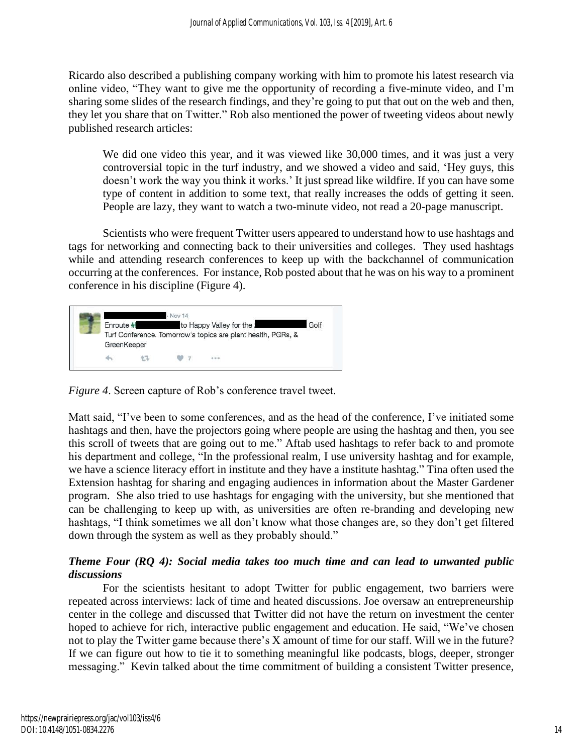Ricardo also described a publishing company working with him to promote his latest research via online video, "They want to give me the opportunity of recording a five-minute video, and I'm sharing some slides of the research findings, and they're going to put that out on the web and then, they let you share that on Twitter." Rob also mentioned the power of tweeting videos about newly published research articles:

We did one video this year, and it was viewed like 30,000 times, and it was just a very controversial topic in the turf industry, and we showed a video and said, 'Hey guys, this doesn't work the way you think it works.' It just spread like wildfire. If you can have some type of content in addition to some text, that really increases the odds of getting it seen. People are lazy, they want to watch a two-minute video, not read a 20-page manuscript.

Scientists who were frequent Twitter users appeared to understand how to use hashtags and tags for networking and connecting back to their universities and colleges. They used hashtags while and attending research conferences to keep up with the backchannel of communication occurring at the conferences. For instance, Rob posted about that he was on his way to a prominent conference in his discipline (Figure 4).



*Figure 4*. Screen capture of Rob's conference travel tweet.

Matt said, "I've been to some conferences, and as the head of the conference, I've initiated some hashtags and then, have the projectors going where people are using the hashtag and then, you see this scroll of tweets that are going out to me." Aftab used hashtags to refer back to and promote his department and college, "In the professional realm, I use university hashtag and for example, we have a science literacy effort in institute and they have a institute hashtag." Tina often used the Extension hashtag for sharing and engaging audiences in information about the Master Gardener program. She also tried to use hashtags for engaging with the university, but she mentioned that can be challenging to keep up with, as universities are often re-branding and developing new hashtags, "I think sometimes we all don't know what those changes are, so they don't get filtered down through the system as well as they probably should."

#### *Theme Four (RQ 4): Social media takes too much time and can lead to unwanted public discussions*

For the scientists hesitant to adopt Twitter for public engagement, two barriers were repeated across interviews: lack of time and heated discussions. Joe oversaw an entrepreneurship center in the college and discussed that Twitter did not have the return on investment the center hoped to achieve for rich, interactive public engagement and education. He said, "We've chosen not to play the Twitter game because there's X amount of time for our staff. Will we in the future? If we can figure out how to tie it to something meaningful like podcasts, blogs, deeper, stronger messaging." Kevin talked about the time commitment of building a consistent Twitter presence,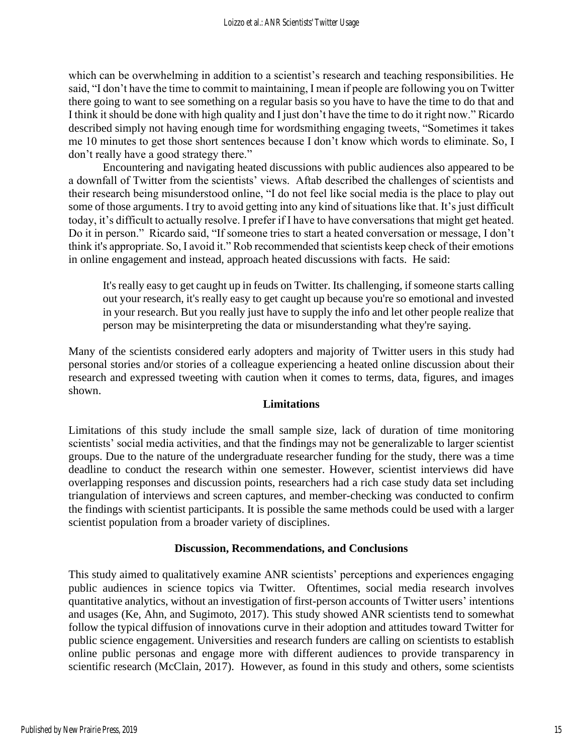which can be overwhelming in addition to a scientist's research and teaching responsibilities. He said, "I don't have the time to commit to maintaining, I mean if people are following you on Twitter there going to want to see something on a regular basis so you have to have the time to do that and I think it should be done with high quality and I just don't have the time to do it right now." Ricardo described simply not having enough time for wordsmithing engaging tweets, "Sometimes it takes me 10 minutes to get those short sentences because I don't know which words to eliminate. So, I don't really have a good strategy there."

Encountering and navigating heated discussions with public audiences also appeared to be a downfall of Twitter from the scientists' views. Aftab described the challenges of scientists and their research being misunderstood online, "I do not feel like social media is the place to play out some of those arguments. I try to avoid getting into any kind of situations like that. It's just difficult today, it's difficult to actually resolve. I prefer if I have to have conversations that might get heated. Do it in person." Ricardo said, "If someone tries to start a heated conversation or message, I don't think it's appropriate. So, I avoid it." Rob recommended that scientists keep check of their emotions in online engagement and instead, approach heated discussions with facts. He said:

It's really easy to get caught up in feuds on Twitter. Its challenging, if someone starts calling out your research, it's really easy to get caught up because you're so emotional and invested in your research. But you really just have to supply the info and let other people realize that person may be misinterpreting the data or misunderstanding what they're saying.

Many of the scientists considered early adopters and majority of Twitter users in this study had personal stories and/or stories of a colleague experiencing a heated online discussion about their research and expressed tweeting with caution when it comes to terms, data, figures, and images shown.

#### **Limitations**

Limitations of this study include the small sample size, lack of duration of time monitoring scientists' social media activities, and that the findings may not be generalizable to larger scientist groups. Due to the nature of the undergraduate researcher funding for the study, there was a time deadline to conduct the research within one semester. However, scientist interviews did have overlapping responses and discussion points, researchers had a rich case study data set including triangulation of interviews and screen captures, and member-checking was conducted to confirm the findings with scientist participants. It is possible the same methods could be used with a larger scientist population from a broader variety of disciplines.

### **Discussion, Recommendations, and Conclusions**

This study aimed to qualitatively examine ANR scientists' perceptions and experiences engaging public audiences in science topics via Twitter. Oftentimes, social media research involves quantitative analytics, without an investigation of first-person accounts of Twitter users' intentions and usages (Ke, Ahn, and Sugimoto, 2017). This study showed ANR scientists tend to somewhat follow the typical diffusion of innovations curve in their adoption and attitudes toward Twitter for public science engagement. Universities and research funders are calling on scientists to establish online public personas and engage more with different audiences to provide transparency in scientific research (McClain, 2017). However, as found in this study and others, some scientists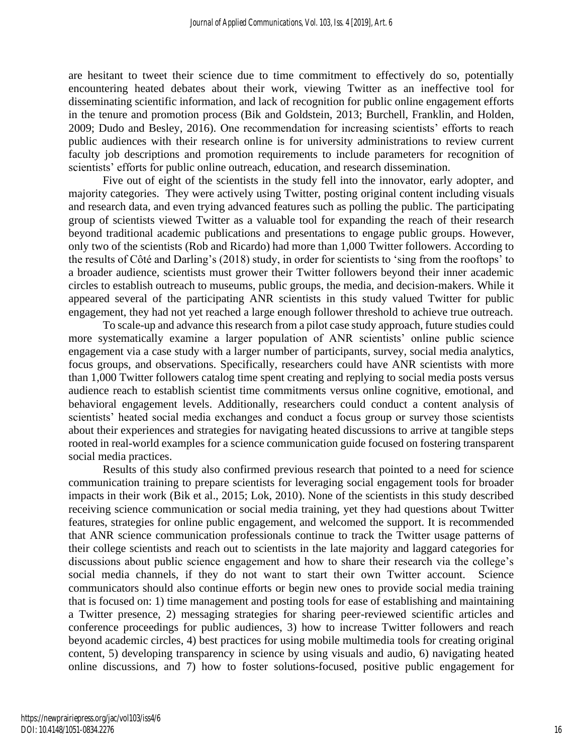are hesitant to tweet their science due to time commitment to effectively do so, potentially encountering heated debates about their work, viewing Twitter as an ineffective tool for disseminating scientific information, and lack of recognition for public online engagement efforts in the tenure and promotion process (Bik and Goldstein, 2013; Burchell, Franklin, and Holden, 2009; Dudo and Besley, 2016). One recommendation for increasing scientists' efforts to reach public audiences with their research online is for university administrations to review current faculty job descriptions and promotion requirements to include parameters for recognition of scientists' efforts for public online outreach, education, and research dissemination.

Five out of eight of the scientists in the study fell into the innovator, early adopter, and majority categories. They were actively using Twitter, posting original content including visuals and research data, and even trying advanced features such as polling the public. The participating group of scientists viewed Twitter as a valuable tool for expanding the reach of their research beyond traditional academic publications and presentations to engage public groups. However, only two of the scientists (Rob and Ricardo) had more than 1,000 Twitter followers. According to the results of Côté and Darling's (2018) study, in order for scientists to 'sing from the rooftops' to a broader audience, scientists must grower their Twitter followers beyond their inner academic circles to establish outreach to museums, public groups, the media, and decision-makers. While it appeared several of the participating ANR scientists in this study valued Twitter for public engagement, they had not yet reached a large enough follower threshold to achieve true outreach.

To scale-up and advance this research from a pilot case study approach, future studies could more systematically examine a larger population of ANR scientists' online public science engagement via a case study with a larger number of participants, survey, social media analytics, focus groups, and observations. Specifically, researchers could have ANR scientists with more than 1,000 Twitter followers catalog time spent creating and replying to social media posts versus audience reach to establish scientist time commitments versus online cognitive, emotional, and behavioral engagement levels. Additionally, researchers could conduct a content analysis of scientists' heated social media exchanges and conduct a focus group or survey those scientists about their experiences and strategies for navigating heated discussions to arrive at tangible steps rooted in real-world examples for a science communication guide focused on fostering transparent social media practices.

Results of this study also confirmed previous research that pointed to a need for science communication training to prepare scientists for leveraging social engagement tools for broader impacts in their work (Bik et al., 2015; Lok, 2010). None of the scientists in this study described receiving science communication or social media training, yet they had questions about Twitter features, strategies for online public engagement, and welcomed the support. It is recommended that ANR science communication professionals continue to track the Twitter usage patterns of their college scientists and reach out to scientists in the late majority and laggard categories for discussions about public science engagement and how to share their research via the college's social media channels, if they do not want to start their own Twitter account. Science communicators should also continue efforts or begin new ones to provide social media training that is focused on: 1) time management and posting tools for ease of establishing and maintaining a Twitter presence, 2) messaging strategies for sharing peer-reviewed scientific articles and conference proceedings for public audiences, 3) how to increase Twitter followers and reach beyond academic circles, 4) best practices for using mobile multimedia tools for creating original content, 5) developing transparency in science by using visuals and audio, 6) navigating heated online discussions, and 7) how to foster solutions-focused, positive public engagement for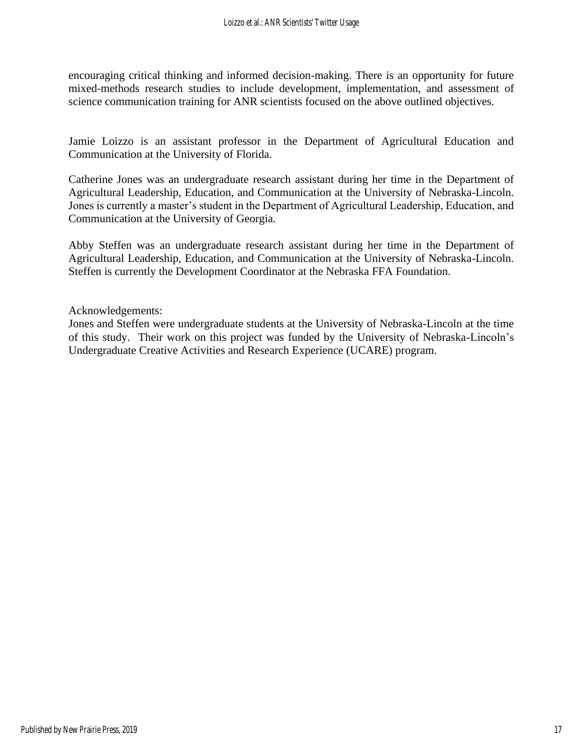encouraging critical thinking and informed decision-making. There is an opportunity for future mixed-methods research studies to include development, implementation, and assessment of science communication training for ANR scientists focused on the above outlined objectives.

Jamie Loizzo is an assistant professor in the Department of Agricultural Education and Communication at the University of Florida.

Catherine Jones was an undergraduate research assistant during her time in the Department of Agricultural Leadership, Education, and Communication at the University of Nebraska-Lincoln. Jones is currently a master's student in the Department of Agricultural Leadership, Education, and Communication at the University of Georgia.

Abby Steffen was an undergraduate research assistant during her time in the Department of Agricultural Leadership, Education, and Communication at the University of Nebraska-Lincoln. Steffen is currently the Development Coordinator at the Nebraska FFA Foundation.

Acknowledgements:

Jones and Steffen were undergraduate students at the University of Nebraska-Lincoln at the time of this study. Their work on this project was funded by the University of Nebraska-Lincoln's Undergraduate Creative Activities and Research Experience (UCARE) program.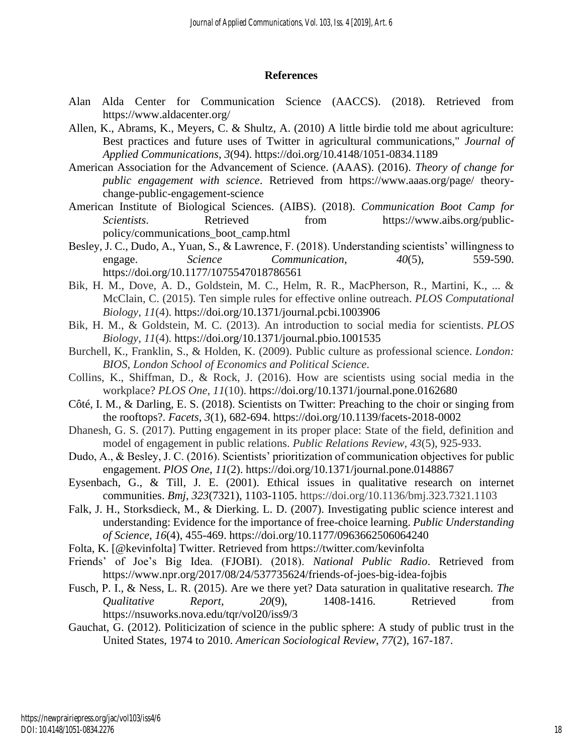#### **References**

- Alan Alda Center for Communication Science (AACCS). (2018). Retrieved from <https://www.aldacenter.org/>
- Allen, K., Abrams, K., Meyers, C. & Shultz, A. (2010) A little birdie told me about agriculture: Best practices and future uses of Twitter in agricultural communications," *Journal of Applied Communications*, *3*(94). https://doi.org/10.4148/1051-0834.1189
- American Association for the Advancement of Science. (AAAS). (2016). *Theory of change for public engagement with science*. Retrieved from https://www.aaas.org/page/ theorychange-public-engagement-science
- American Institute of Biological Sciences. (AIBS). (2018). *Communication Boot Camp for Scientists*. Retrieved from https://www.aibs.org/publicpolicy/communications\_boot\_camp.html
- Besley, J. C., Dudo, A., Yuan, S., & Lawrence, F. (2018). Understanding scientists' willingness to engage. *Science Communication*, *40*(5), 559-590. https://doi.org/10.1177/1075547018786561
- Bik, H. M., Dove, A. D., Goldstein, M. C., Helm, R. R., MacPherson, R., Martini, K., ... & McClain, C. (2015). Ten simple rules for effective online outreach. *PLOS Computational Biology*, *11*(4). https://doi.org/10.1371/journal.pcbi.1003906
- Bik, H. M., & Goldstein, M. C. (2013). An introduction to social media for scientists. *PLOS Biology*, *11*(4). https://doi.org/10.1371/journal.pbio.1001535
- Burchell, K., Franklin, S., & Holden, K. (2009). Public culture as professional science. *London: BIOS, London School of Economics and Political Science*.
- Collins, K., Shiffman, D., & Rock, J. (2016). How are scientists using social media in the workplace? *PLOS One*, *11*(10). https://doi.org/10.1371/journal.pone.0162680
- Côté, I. M., & Darling, E. S. (2018). Scientists on Twitter: Preaching to the choir or singing from the rooftops?. *Facets*, *3*(1), 682-694. https://doi.org/10.1139/facets-2018-0002
- Dhanesh, G. S. (2017). Putting engagement in its proper place: State of the field, definition and model of engagement in public relations. *Public Relations Review*, *43*(5), 925-933.
- Dudo, A., & Besley, J. C. (2016). Scientists' prioritization of communication objectives for public engagement. *PlOS One*, *11*(2). https://doi.org/10.1371/journal.pone.0148867
- Eysenbach, G., & Till, J. E. (2001). Ethical issues in qualitative research on internet communities. *Bmj*, *323*(7321), 1103-1105. https://doi.org/10.1136/bmj.323.7321.1103
- Falk, J. H., Storksdieck, M., & Dierking. L. D. (2007). Investigating public science interest and understanding: Evidence for the importance of free-choice learning. *Public Understanding of Science*, *16*(4), 455-469. https://doi.org/10.1177/0963662506064240
- Folta, K. [@kevinfolta] Twitter. Retrieved from https://twitter.com/kevinfolta
- Friends' of Joe's Big Idea. (FJOBI). (2018). *National Public Radio*. Retrieved from https://www.npr.org/2017/08/24/537735624/friends-of-joes-big-idea-fojbis
- Fusch, P. I., & Ness, L. R. (2015). Are we there yet? Data saturation in qualitative research. *The Qualitative Report*, *20*(9), 1408-1416. Retrieved from https://nsuworks.nova.edu/tqr/vol20/iss9/3
- Gauchat, G. (2012). Politicization of science in the public sphere: A study of public trust in the United States, 1974 to 2010. *American Sociological Review*, *77*(2), 167-187.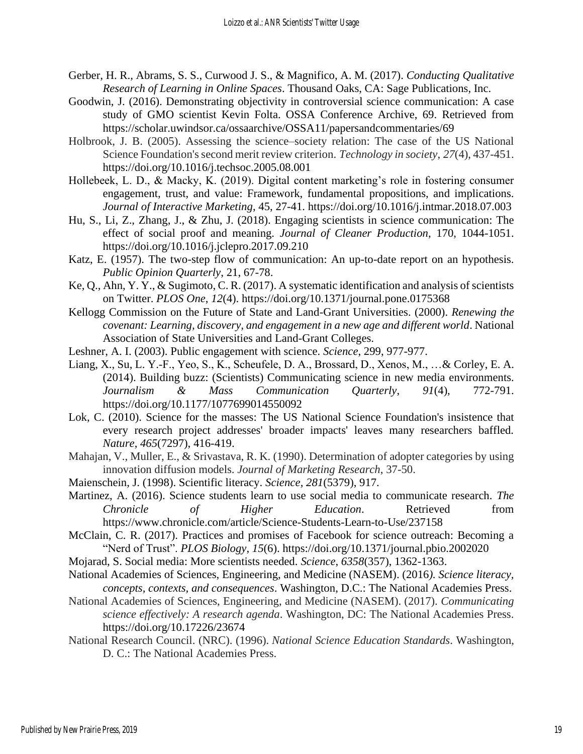- Gerber, H. R., Abrams, S. S., Curwood J. S., & Magnifico, A. M. (2017). *Conducting Qualitative Research of Learning in Online Spaces*. Thousand Oaks, CA: Sage Publications, Inc.
- Goodwin, J. (2016). Demonstrating objectivity in controversial science communication: A case study of GMO scientist Kevin Folta. OSSA Conference Archive, 69. Retrieved from https://scholar.uwindsor.ca/ossaarchive/OSSA11/papersandcommentaries/69
- Holbrook, J. B. (2005). Assessing the science–society relation: The case of the US National Science Foundation's second merit review criterion. *Technology in society*, *27*(4), 437-451. https://doi.org/10.1016/j.techsoc.2005.08.001
- Hollebeek, L. D., & Macky, K. (2019). Digital content marketing's role in fostering consumer engagement, trust, and value: Framework, fundamental propositions, and implications. *Journal of Interactive Marketing*, 45, 27-41. https://doi.org/10.1016/j.intmar.2018.07.003
- Hu, S., Li, Z., Zhang, J., & Zhu, J. (2018). Engaging scientists in science communication: The effect of social proof and meaning. *Journal of Cleaner Production*, 170, 1044-1051. https://doi.org/10.1016/j.jclepro.2017.09.210
- Katz, E. (1957). The two-step flow of communication: An up-to-date report on an hypothesis. *Public Opinion Quarterly*, 21, 67-78.
- Ke, Q., Ahn, Y. Y., & Sugimoto, C. R. (2017). A systematic identification and analysis of scientists on Twitter. *PLOS One*, *12*(4). https://doi.org/10.1371/journal.pone.0175368
- Kellogg Commission on the Future of State and Land-Grant Universities. (2000). *Renewing the covenant: Learning, discovery, and engagement in a new age and different world*. National Association of State Universities and Land-Grant Colleges.
- Leshner, A. I. (2003). Public engagement with science. *Science*, 299, 977-977.
- Liang, X., Su, L. Y.-F., Yeo, S., K., Scheufele, D. A., Brossard, D., Xenos, M., …& Corley, E. A. (2014). Building buzz: (Scientists) Communicating science in new media environments. *Journalism & Mass Communication Quarterly*, *91*(4), 772-791. https://doi.org/10.1177/1077699014550092
- Lok, C. (2010). Science for the masses: The US National Science Foundation's insistence that every research project addresses' broader impacts' leaves many researchers baffled. *Nature*, *465*(7297), 416-419.
- Mahajan, V., Muller, E., & Srivastava, R. K. (1990). Determination of adopter categories by using innovation diffusion models. *Journal of Marketing Research*, 37-50.
- Maienschein, J. (1998). Scientific literacy. *Science*, *281*(5379), 917.
- Martinez, A. (2016). Science students learn to use social media to communicate research. *The Chronicle of Higher Education*. Retrieved from https://www.chronicle.com/article/Science-Students-Learn-to-Use/237158
- McClain, C. R. (2017). Practices and promises of Facebook for science outreach: Becoming a "Nerd of Trust". *PLOS Biology*, *15*(6). https://doi.org/10.1371/journal.pbio.2002020
- Mojarad, S. Social media: More scientists needed. *Science*, *6358*(357), 1362-1363.
- National Academies of Sciences, Engineering, and Medicine (NASEM). (2016*). Science literacy, concepts, contexts, and consequences*. Washington, D.C.: The National Academies Press.
- National Academies of Sciences, Engineering, and Medicine (NASEM). (2017). *Communicating science effectively: A research agenda*. Washington, DC: The National Academies Press. https://doi.org/10.17226/23674
- National Research Council. (NRC). (1996). *National Science Education Standards*. Washington, D. C.: The National Academies Press.